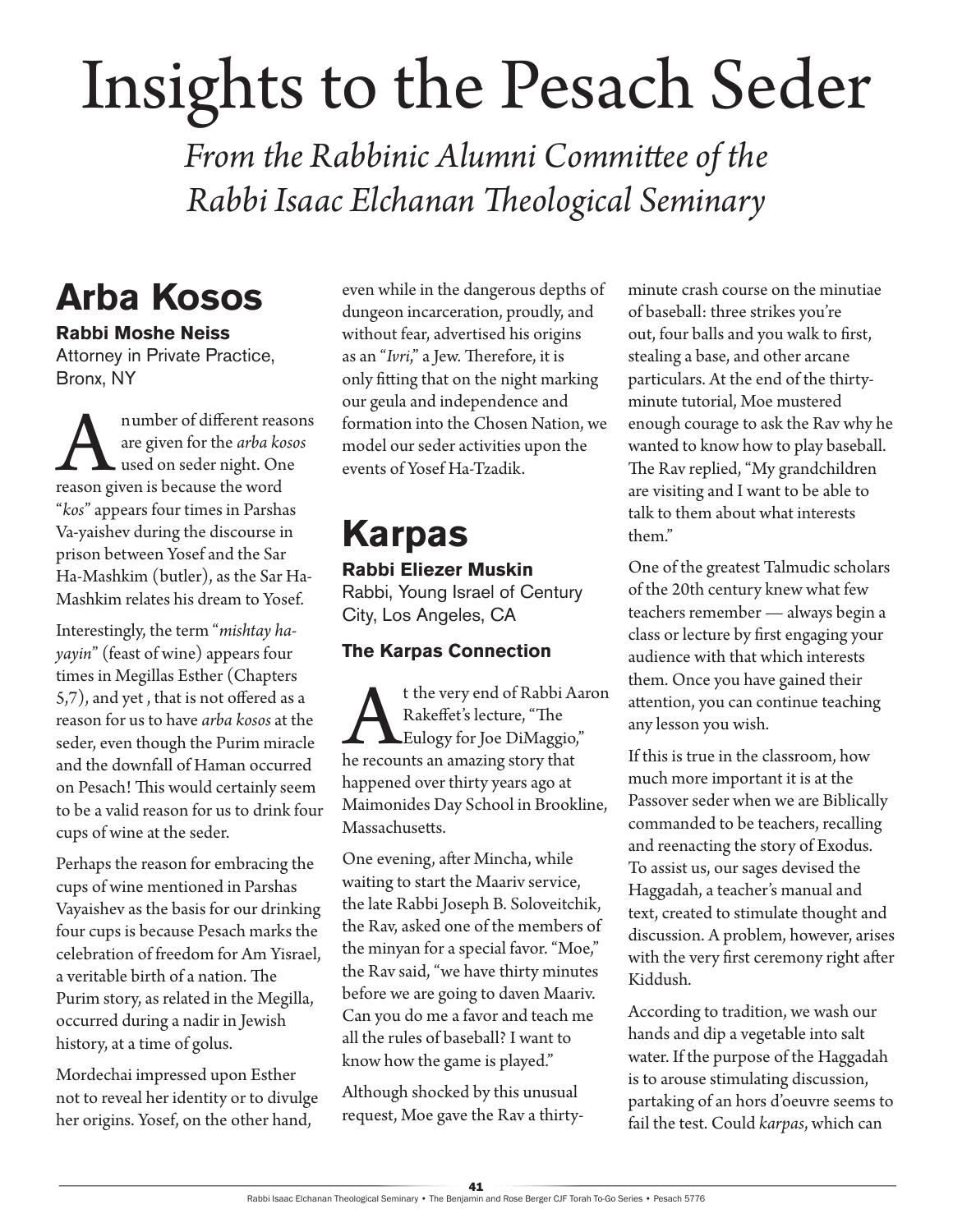# Insights to the Pesach Seder

*From the Rabbinic Alumni Committee of the Rabbi Isaac Elchanan Theological Seminary*

### **Arba Kosos**

**Rabbi Moshe Neiss** Attorney in Private Practice, Bronx, NY

A number of different reasons<br>are given for the *arba kosos*<br>used on seder night. One<br>reason given is because the word are given for the *arba kosos* used on seder night. One "*kos*" appears four times in Parshas Va-yaishev during the discourse in prison between Yosef and the Sar Ha-Mashkim (butler), as the Sar Ha-Mashkim relates his dream to Yosef.

Interestingly, the term "*mishtay hayayin*" (feast of wine) appears four times in Megillas Esther (Chapters 5,7), and yet , that is not offered as a reason for us to have *arba kosos* at the seder, even though the Purim miracle and the downfall of Haman occurred on Pesach! This would certainly seem to be a valid reason for us to drink four cups of wine at the seder.

Perhaps the reason for embracing the cups of wine mentioned in Parshas Vayaishev as the basis for our drinking four cups is because Pesach marks the celebration of freedom for Am Yisrael, a veritable birth of a nation. The Purim story, as related in the Megilla, occurred during a nadir in Jewish history, at a time of golus.

Mordechai impressed upon Esther not to reveal her identity or to divulge her origins. Yosef, on the other hand,

even while in the dangerous depths of dungeon incarceration, proudly, and without fear, advertised his origins as an "*Ivri*," a Jew. Therefore, it is only fitting that on the night marking our geula and independence and formation into the Chosen Nation, we model our seder activities upon the events of Yosef Ha-Tzadik.

## **Karpas**

#### **Rabbi Eliezer Muskin**

Rabbi, Young Israel of Century City, Los Angeles, CA

#### **The Karpas Connection**

At the very end of Rabbi Aaron he recounts an amazing story that Rakeffet's lecture, "The Eulogy for Joe DiMaggio," happened over thirty years ago at Maimonides Day School in Brookline, Massachusetts.

One evening, after Mincha, while waiting to start the Maariv service, the late Rabbi Joseph B. Soloveitchik, the Rav, asked one of the members of the minyan for a special favor. "Moe," the Rav said, "we have thirty minutes before we are going to daven Maariv. Can you do me a favor and teach me all the rules of baseball? I want to know how the game is played."

Although shocked by this unusual request, Moe gave the Rav a thirtyminute crash course on the minutiae of baseball: three strikes you're out, four balls and you walk to first, stealing a base, and other arcane particulars. At the end of the thirtyminute tutorial, Moe mustered enough courage to ask the Rav why he wanted to know how to play baseball. The Rav replied, "My grandchildren are visiting and I want to be able to talk to them about what interests them."

One of the greatest Talmudic scholars of the 20th century knew what few teachers remember — always begin a class or lecture by first engaging your audience with that which interests them. Once you have gained their attention, you can continue teaching any lesson you wish.

If this is true in the classroom, how much more important it is at the Passover seder when we are Biblically commanded to be teachers, recalling and reenacting the story of Exodus. To assist us, our sages devised the Haggadah, a teacher's manual and text, created to stimulate thought and discussion. A problem, however, arises with the very first ceremony right after Kiddush.

According to tradition, we wash our hands and dip a vegetable into salt water. If the purpose of the Haggadah is to arouse stimulating discussion, partaking of an hors d'oeuvre seems to fail the test. Could *karpas*, which can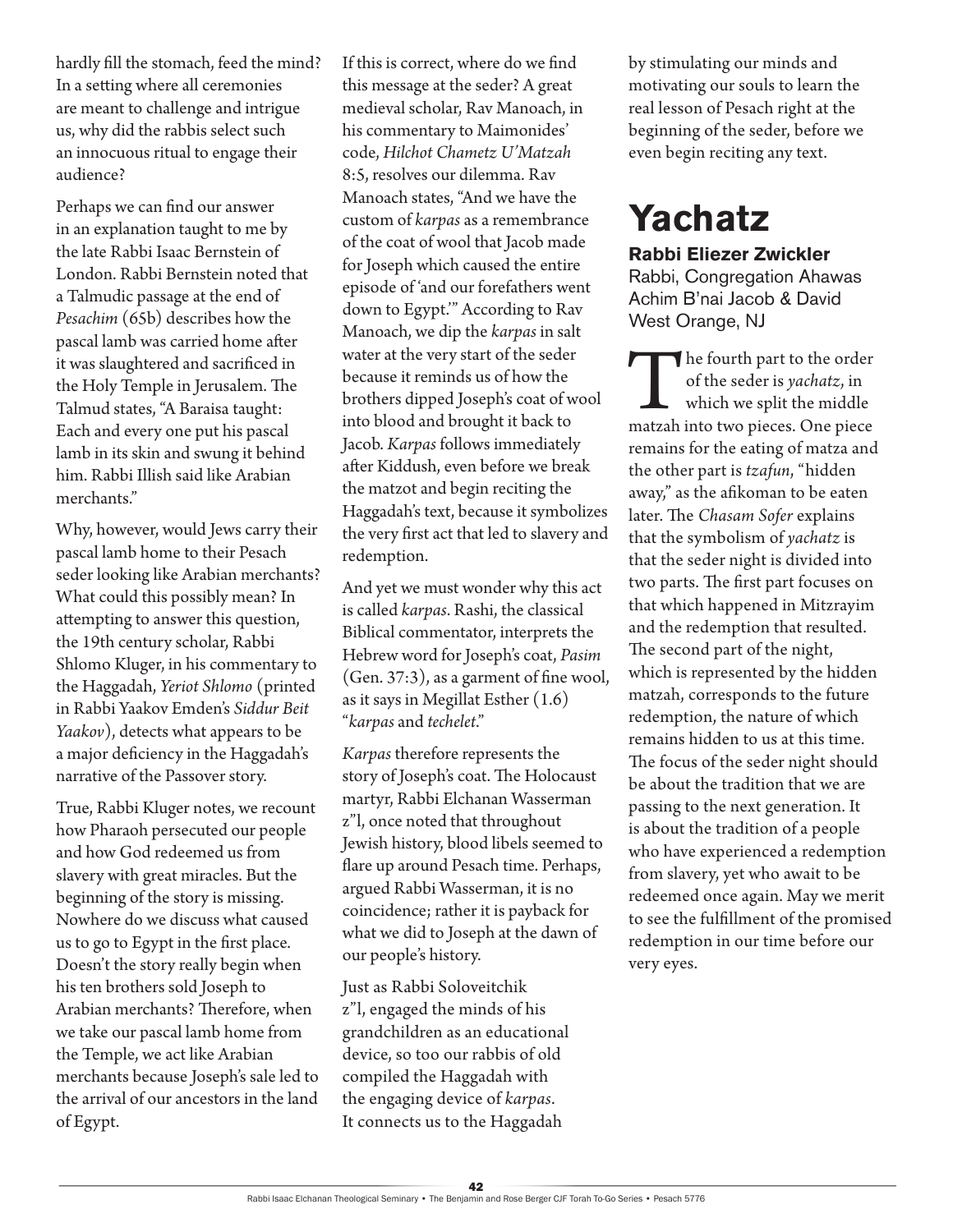hardly fill the stomach, feed the mind? In a setting where all ceremonies are meant to challenge and intrigue us, why did the rabbis select such an innocuous ritual to engage their audience?

Perhaps we can find our answer in an explanation taught to me by the late Rabbi Isaac Bernstein of London. Rabbi Bernstein noted that a Talmudic passage at the end of *Pesachim* (65b) describes how the pascal lamb was carried home after it was slaughtered and sacrificed in the Holy Temple in Jerusalem. The Talmud states, "A Baraisa taught: Each and every one put his pascal lamb in its skin and swung it behind him. Rabbi Illish said like Arabian merchants."

Why, however, would Jews carry their pascal lamb home to their Pesach seder looking like Arabian merchants? What could this possibly mean? In attempting to answer this question, the 19th century scholar, Rabbi Shlomo Kluger, in his commentary to the Haggadah, *Yeriot Shlomo* (printed in Rabbi Yaakov Emden's *Siddur Beit Yaakov*), detects what appears to be a major deficiency in the Haggadah's narrative of the Passover story.

True, Rabbi Kluger notes, we recount how Pharaoh persecuted our people and how God redeemed us from slavery with great miracles. But the beginning of the story is missing. Nowhere do we discuss what caused us to go to Egypt in the first place. Doesn't the story really begin when his ten brothers sold Joseph to Arabian merchants? Therefore, when we take our pascal lamb home from the Temple, we act like Arabian merchants because Joseph's sale led to the arrival of our ancestors in the land of Egypt.

If this is correct, where do we find this message at the seder? A great medieval scholar, Rav Manoach, in his commentary to Maimonides' code, *Hilchot Chametz U'Matzah* 8:5, resolves our dilemma. Rav Manoach states, "And we have the custom of *karpas* as a remembrance of the coat of wool that Jacob made for Joseph which caused the entire episode of 'and our forefathers went down to Egypt.'" According to Rav Manoach, we dip the *karpas* in salt water at the very start of the seder because it reminds us of how the brothers dipped Joseph's coat of wool into blood and brought it back to Jacob. *Karpas* follows immediately after Kiddush, even before we break the matzot and begin reciting the Haggadah's text, because it symbolizes the very first act that led to slavery and redemption.

And yet we must wonder why this act is called *karpas*. Rashi, the classical Biblical commentator, interprets the Hebrew word for Joseph's coat, *Pasim* (Gen. 37:3), as a garment of fine wool, as it says in Megillat Esther (1.6) "*karpas* and *techelet*."

*Karpas* therefore represents the story of Joseph's coat. The Holocaust martyr, Rabbi Elchanan Wasserman z"l, once noted that throughout Jewish history, blood libels seemed to flare up around Pesach time. Perhaps, argued Rabbi Wasserman, it is no coincidence; rather it is payback for what we did to Joseph at the dawn of our people's history.

Just as Rabbi Soloveitchik z"l, engaged the minds of his grandchildren as an educational device, so too our rabbis of old compiled the Haggadah with the engaging device of *karpas*. It connects us to the Haggadah

by stimulating our minds and motivating our souls to learn the real lesson of Pesach right at the beginning of the seder, before we even begin reciting any text.

### **Yachatz**

**Rabbi Eliezer Zwickler** Rabbi, Congregation Ahawas Achim B'nai Jacob & David

West Orange, NJ

The fourth part to the order<br>of the seder is *yachatz*, in<br>which we split the middle<br>matzah into two pieces. One piece of the seder is *yachatz*, in which we split the middle remains for the eating of matza and the other part is *tzafun*, "hidden away," as the afikoman to be eaten later. The *Chasam Sofer* explains that the symbolism of *yachatz* is that the seder night is divided into two parts. The first part focuses on that which happened in Mitzrayim and the redemption that resulted. The second part of the night, which is represented by the hidden matzah, corresponds to the future redemption, the nature of which remains hidden to us at this time. The focus of the seder night should be about the tradition that we are passing to the next generation. It is about the tradition of a people who have experienced a redemption from slavery, yet who await to be redeemed once again. May we merit to see the fulfillment of the promised redemption in our time before our very eyes.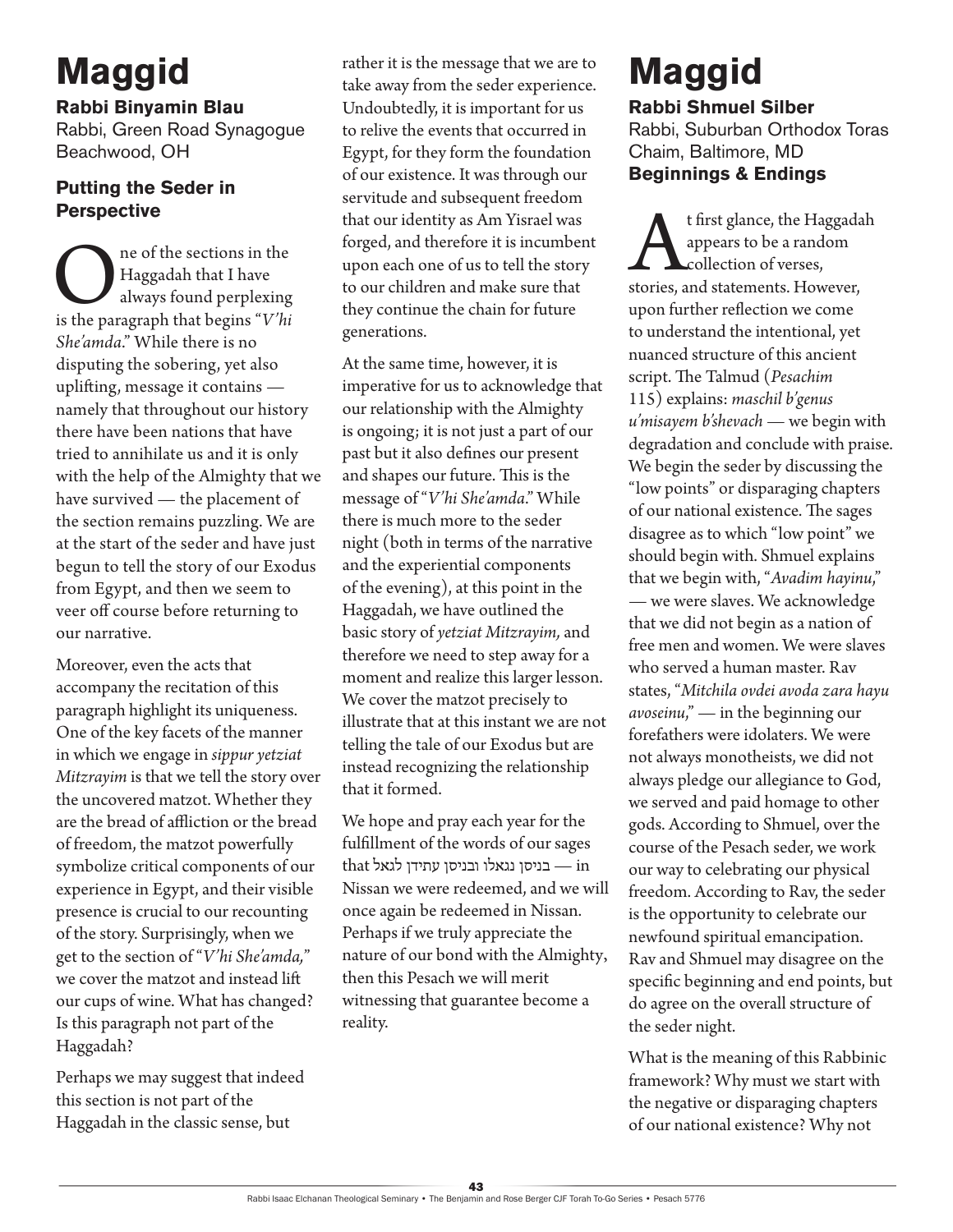### **Maggid**

**Rabbi Binyamin Blau**

Rabbi, Green Road Synagogue Beachwood, OH

#### **Putting the Seder in Perspective**

One of the sections in the Haggadah that I have always found perplexing is the paragraph that begins *"V'hi* Haggadah that I have always found perplexing *She'amda*." While there is no disputing the sobering, yet also uplifting, message it contains namely that throughout our history there have been nations that have tried to annihilate us and it is only with the help of the Almighty that we have survived — the placement of the section remains puzzling. We are at the start of the seder and have just begun to tell the story of our Exodus from Egypt, and then we seem to veer off course before returning to our narrative.

Moreover, even the acts that accompany the recitation of this paragraph highlight its uniqueness. One of the key facets of the manner in which we engage in *sippur yetziat Mitzrayim* is that we tell the story over the uncovered matzot. Whether they are the bread of affliction or the bread of freedom, the matzot powerfully symbolize critical components of our experience in Egypt, and their visible presence is crucial to our recounting of the story. Surprisingly, when we get to the section of "*V'hi She'amda,*" we cover the matzot and instead lift our cups of wine. What has changed? Is this paragraph not part of the Haggadah?

Perhaps we may suggest that indeed this section is not part of the Haggadah in the classic sense, but

rather it is the message that we are to take away from the seder experience. Undoubtedly, it is important for us to relive the events that occurred in Egypt, for they form the foundation of our existence. It was through our servitude and subsequent freedom that our identity as Am Yisrael was forged, and therefore it is incumbent upon each one of us to tell the story to our children and make sure that they continue the chain for future generations.

At the same time, however, it is imperative for us to acknowledge that our relationship with the Almighty is ongoing; it is not just a part of our past but it also defines our present and shapes our future. This is the message of "*V'hi She'amda*." While there is much more to the seder night (both in terms of the narrative and the experiential components of the evening), at this point in the Haggadah, we have outlined the basic story of *yetziat Mitzrayim,* and therefore we need to step away for a moment and realize this larger lesson. We cover the matzot precisely to illustrate that at this instant we are not telling the tale of our Exodus but are instead recognizing the relationship that it formed.

We hope and pray each year for the fulfillment of the words of our sages  $that$  that הבניסן נגאלו ובניסן עתידן לגאל $-$  in Nissan we were redeemed, and we will once again be redeemed in Nissan. Perhaps if we truly appreciate the nature of our bond with the Almighty, then this Pesach we will merit witnessing that guarantee become a reality.

# **Maggid**

**Rabbi Shmuel Silber** Rabbi, Suburban Orthodox Toras Chaim, Baltimore, MD **Beginnings & Endings**

t first glance, the Haggadah<br>appears to be a random<br>collection of verses,<br>stories, and statements. However, appears to be a random **L**collection of verses, upon further reflection we come to understand the intentional, yet nuanced structure of this ancient script. The Talmud (*Pesachim* 115) explains: *maschil b'genus u'misayem b'shevach —* we begin with degradation and conclude with praise. We begin the seder by discussing the "low points" or disparaging chapters of our national existence. The sages disagree as to which "low point" we should begin with. Shmuel explains that we begin with, "*Avadim hayinu*," — we were slaves. We acknowledge that we did not begin as a nation of free men and women. We were slaves who served a human master. Rav states, "*Mitchila ovdei avoda zara hayu avoseinu*," — in the beginning our forefathers were idolaters. We were not always monotheists, we did not always pledge our allegiance to God, we served and paid homage to other gods. According to Shmuel, over the course of the Pesach seder, we work our way to celebrating our physical freedom. According to Rav, the seder is the opportunity to celebrate our newfound spiritual emancipation. Rav and Shmuel may disagree on the specific beginning and end points, but do agree on the overall structure of the seder night.

What is the meaning of this Rabbinic framework? Why must we start with the negative or disparaging chapters of our national existence? Why not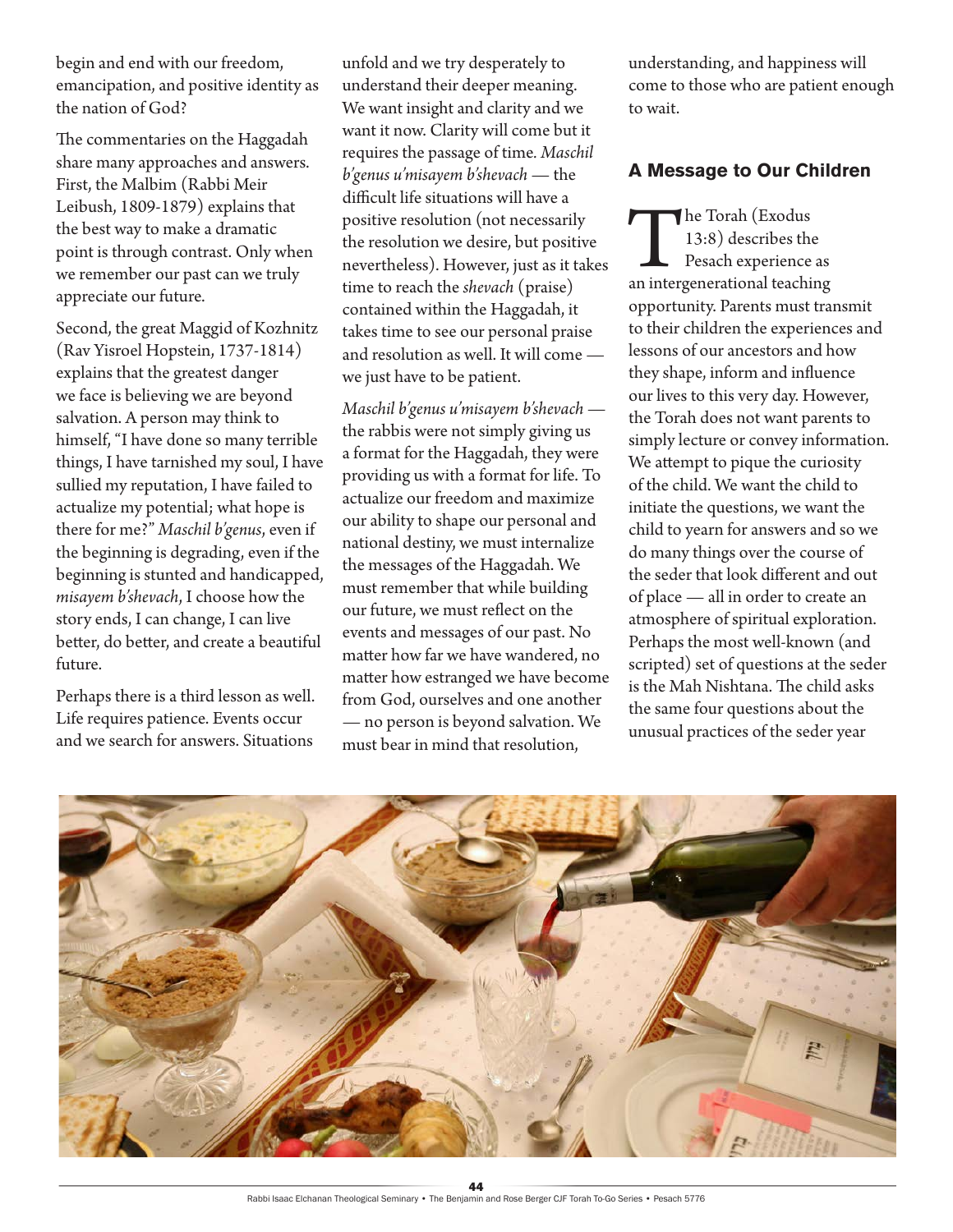begin and end with our freedom, emancipation, and positive identity as the nation of God?

The commentaries on the Haggadah share many approaches and answers. First, the Malbim (Rabbi Meir Leibush, 1809-1879) explains that the best way to make a dramatic point is through contrast. Only when we remember our past can we truly appreciate our future.

Second, the great Maggid of Kozhnitz (Rav Yisroel Hopstein, 1737-1814) explains that the greatest danger we face is believing we are beyond salvation. A person may think to himself, "I have done so many terrible things, I have tarnished my soul, I have sullied my reputation, I have failed to actualize my potential; what hope is there for me?" *Maschil b'genus*, even if the beginning is degrading, even if the beginning is stunted and handicapped, *misayem b'shevach*, I choose how the story ends, I can change, I can live better, do better, and create a beautiful future.

Perhaps there is a third lesson as well. Life requires patience. Events occur and we search for answers. Situations

unfold and we try desperately to understand their deeper meaning. We want insight and clarity and we want it now. Clarity will come but it requires the passage of time*. Maschil b'genus u'misayem b'shevach* — the difficult life situations will have a positive resolution (not necessarily the resolution we desire, but positive nevertheless). However, just as it takes time to reach the *shevach* (praise) contained within the Haggadah, it takes time to see our personal praise and resolution as well. It will come we just have to be patient.

*Maschil b'genus u'misayem b'shevach* the rabbis were not simply giving us a format for the Haggadah, they were providing us with a format for life. To actualize our freedom and maximize our ability to shape our personal and national destiny, we must internalize the messages of the Haggadah. We must remember that while building our future, we must reflect on the events and messages of our past. No matter how far we have wandered, no matter how estranged we have become from God, ourselves and one another — no person is beyond salvation. We must bear in mind that resolution,

understanding, and happiness will come to those who are patient enough to wait.

#### **A Message to Our Children**

The Torah (Exodus<br>
13:8) describes the<br>
Pesach experience as<br>
an intergenerational teaching 13:8) describes the Pesach experience as opportunity. Parents must transmit to their children the experiences and lessons of our ancestors and how they shape, inform and influence our lives to this very day. However, the Torah does not want parents to simply lecture or convey information. We attempt to pique the curiosity of the child. We want the child to initiate the questions, we want the child to yearn for answers and so we do many things over the course of the seder that look different and out of place — all in order to create an atmosphere of spiritual exploration. Perhaps the most well-known (and scripted) set of questions at the seder is the Mah Nishtana. The child asks the same four questions about the unusual practices of the seder year